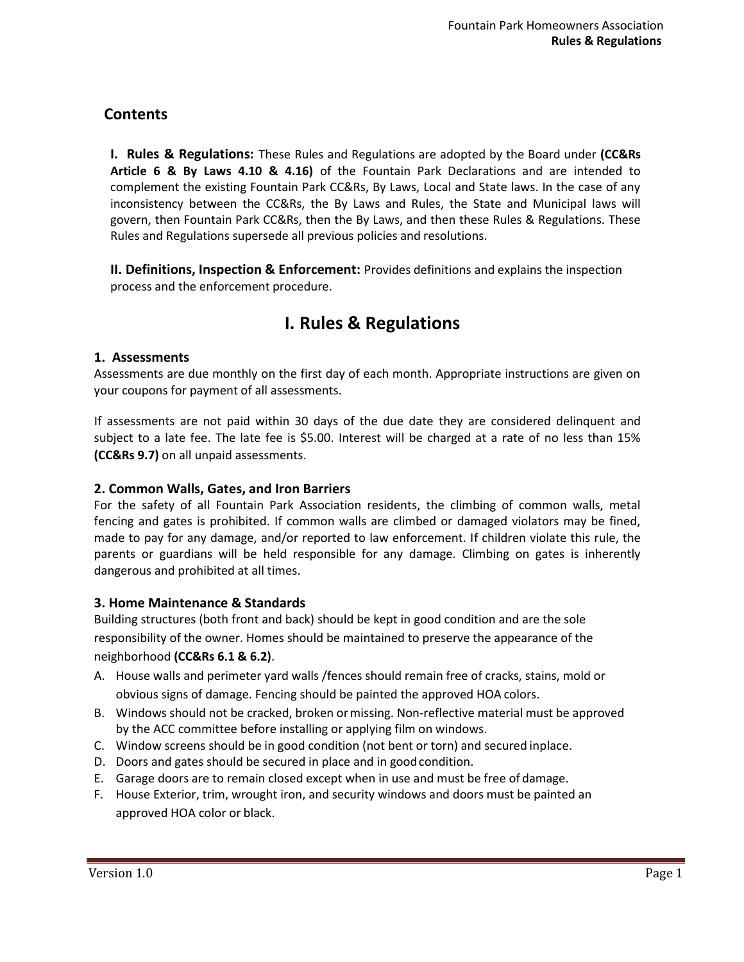# **Contents**

**I. Rules & Regulations:** These Rules and Regulations are adopted by the Board under **(CC&Rs Article 6 & By Laws 4.10 & 4.16)** of the Fountain Park Declarations and are intended to complement the existing Fountain Park CC&Rs, By Laws, Local and State laws. In the case of any inconsistency between the CC&Rs, the By Laws and Rules, the State and Municipal laws will govern, then Fountain Park CC&Rs, then the By Laws, and then these Rules & Regulations. These Rules and Regulations supersede all previous policies and resolutions.

**II. Definitions, Inspection & Enforcement:** Provides definitions and explains the inspection process and the enforcement procedure.

# **I. Rules & Regulations**

### **1. Assessments**

Assessments are due monthly on the first day of each month. Appropriate instructions are given on your coupons for payment of all assessments.

If assessments are not paid within 30 days of the due date they are considered delinquent and subject to a late fee. The late fee is \$5.00. Interest will be charged at a rate of no less than 15% **(CC&Rs 9.7)** on all unpaid assessments.

### **2. Common Walls, Gates, and Iron Barriers**

For the safety of all Fountain Park Association residents, the climbing of common walls, metal fencing and gates is prohibited. If common walls are climbed or damaged violators may be fined, made to pay for any damage, and/or reported to law enforcement. If children violate this rule, the parents or guardians will be held responsible for any damage. Climbing on gates is inherently dangerous and prohibited at all times.

### **3. Home Maintenance & Standards**

Building structures (both front and back) should be kept in good condition and are the sole responsibility of the owner. Homes should be maintained to preserve the appearance of the neighborhood **(CC&Rs 6.1 & 6.2)**.

- A. House walls and perimeter yard walls /fences should remain free of cracks, stains, mold or obvious signs of damage. Fencing should be painted the approved HOA colors.
- B. Windows should not be cracked, broken ormissing. Non-reflective material must be approved by the ACC committee before installing or applying film on windows.
- C. Window screens should be in good condition (not bent or torn) and secured inplace.
- D. Doors and gates should be secured in place and in goodcondition.
- E. Garage doors are to remain closed except when in use and must be free of damage.
- F. House Exterior, trim, wrought iron, and security windows and doors must be painted an approved HOA color or black.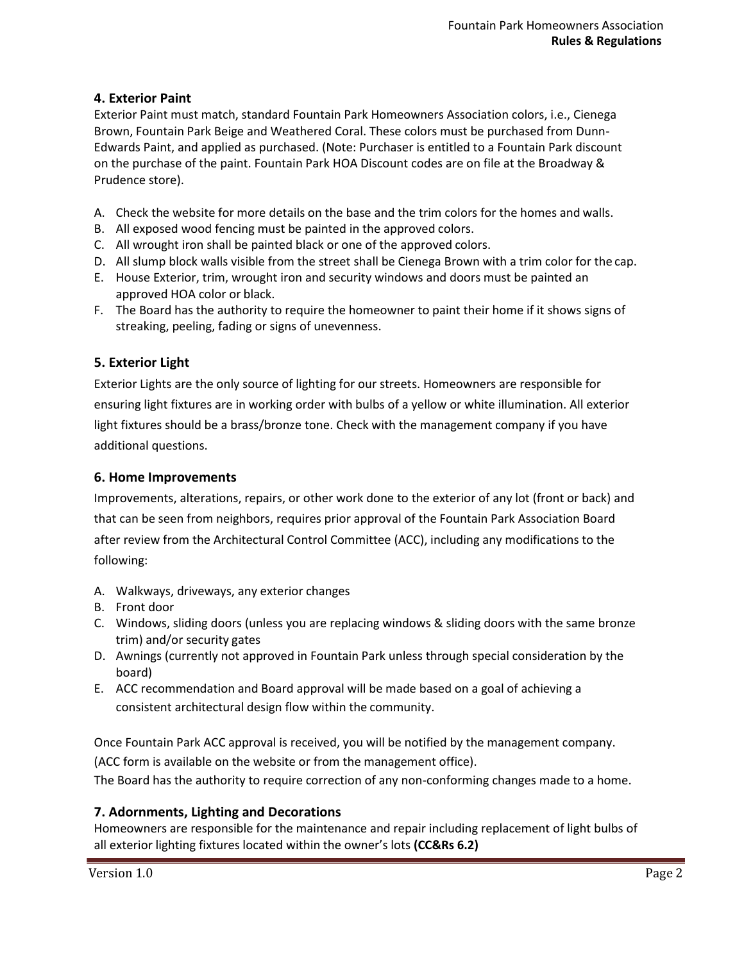# **4. Exterior Paint**

Exterior Paint must match, standard Fountain Park Homeowners Association colors, i.e., Cienega Brown, Fountain Park Beige and Weathered Coral. These colors must be purchased from Dunn-Edwards Paint, and applied as purchased. (Note: Purchaser is entitled to a Fountain Park discount on the purchase of the paint. Fountain Park HOA Discount codes are on file at the Broadway & Prudence store).

- A. Check the website for more details on the base and the trim colors for the homes and walls.
- B. All exposed wood fencing must be painted in the approved colors.
- C. All wrought iron shall be painted black or one of the approved colors.
- D. All slump block walls visible from the street shall be Cienega Brown with a trim color for the cap.
- E. House Exterior, trim, wrought iron and security windows and doors must be painted an approved HOA color or black.
- F. The Board has the authority to require the homeowner to paint their home if it shows signs of streaking, peeling, fading or signs of unevenness.

### **5. Exterior Light**

Exterior Lights are the only source of lighting for our streets. Homeowners are responsible for ensuring light fixtures are in working order with bulbs of a yellow or white illumination. All exterior light fixtures should be a brass/bronze tone. Check with the management company if you have additional questions.

### **6. Home Improvements**

Improvements, alterations, repairs, or other work done to the exterior of any lot (front or back) and that can be seen from neighbors, requires prior approval of the Fountain Park Association Board after review from the Architectural Control Committee (ACC), including any modifications to the following:

- A. Walkways, driveways, any exterior changes
- B. Front door
- C. Windows, sliding doors (unless you are replacing windows & sliding doors with the same bronze trim) and/or security gates
- D. Awnings (currently not approved in Fountain Park unless through special consideration by the board)
- E. ACC recommendation and Board approval will be made based on a goal of achieving a consistent architectural design flow within the community.

Once Fountain Park ACC approval is received, you will be notified by the management company. (ACC form is available on the website or from the management office).

The Board has the authority to require correction of any non-conforming changes made to a home.

### **7. Adornments, Lighting and Decorations**

Homeowners are responsible for the maintenance and repair including replacement of light bulbs of all exterior lighting fixtures located within the owner's lots **(CC&Rs 6.2)**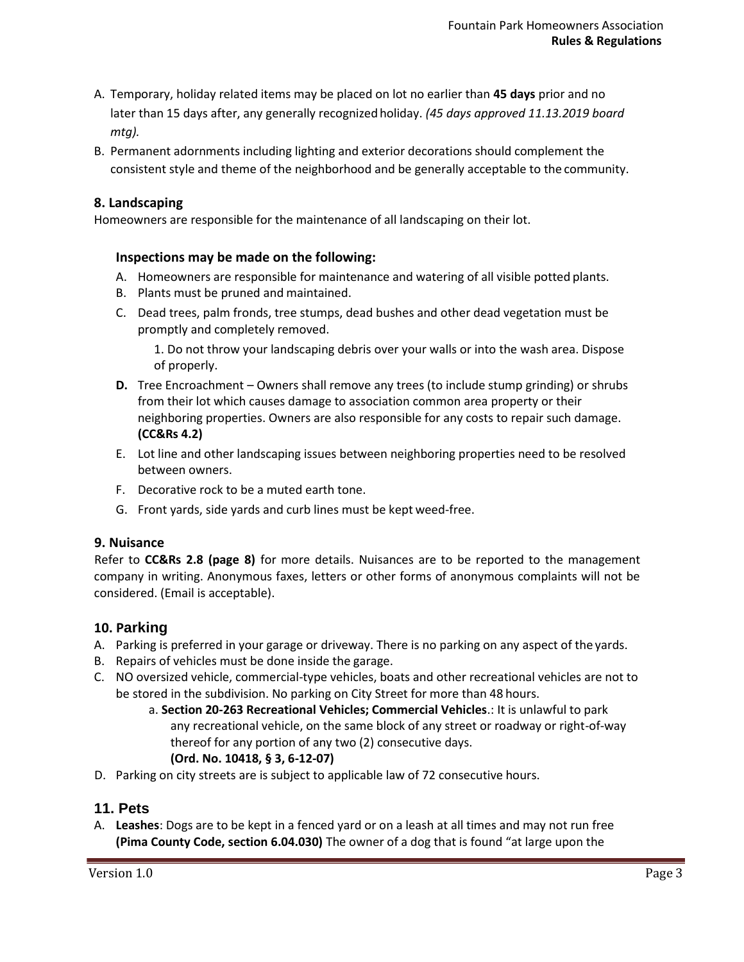- A. Temporary, holiday related items may be placed on lot no earlier than **45 days** prior and no later than 15 days after, any generally recognized holiday. *(45 days approved 11.13.2019 board mtg).*
- B. Permanent adornments including lighting and exterior decorations should complement the consistent style and theme of the neighborhood and be generally acceptable to the community.

### **8. Landscaping**

Homeowners are responsible for the maintenance of all landscaping on their lot.

#### **Inspections may be made on the following:**

- A. Homeowners are responsible for maintenance and watering of all visible potted plants.
- B. Plants must be pruned and maintained.
- C. Dead trees, palm fronds, tree stumps, dead bushes and other dead vegetation must be promptly and completely removed.

1. Do not throw your landscaping debris over your walls or into the wash area. Dispose of properly.

- **D.** Tree Encroachment Owners shall remove any trees (to include stump grinding) or shrubs from their lot which causes damage to association common area property or their neighboring properties. Owners are also responsible for any costs to repair such damage. **(CC&Rs 4.2)**
- E. Lot line and other landscaping issues between neighboring properties need to be resolved between owners.
- F. Decorative rock to be a muted earth tone.
- G. Front yards, side yards and curb lines must be kept weed-free.

### **9. Nuisance**

Refer to **CC&Rs 2.8 (page 8)** for more details. Nuisances are to be reported to the management company in writing. Anonymous faxes, letters or other forms of anonymous complaints will not be considered. (Email is acceptable).

### **10. Parking**

- A. Parking is preferred in your garage or driveway. There is no parking on any aspect of the yards.
- B. Repairs of vehicles must be done inside the garage.
- C. NO oversized vehicle, commercial-type vehicles, boats and other recreational vehicles are not to be stored in the subdivision. No parking on City Street for more than 48 hours.
	- a. **Section 20-263 Recreational Vehicles; Commercial Vehicles**.: It is unlawful to park any recreational vehicle, on the same block of any street or roadway or right-of-way thereof for any portion of any two (2) consecutive days. **(Ord. No. 10418, § 3, 6-12-07)**
- D. Parking on city streets are is subject to applicable law of 72 consecutive hours.

### **11. Pets**

A. **Leashes**: Dogs are to be kept in a fenced yard or on a leash at all times and may not run free **(Pima County Code, section 6.04.030)** The owner of a dog that is found "at large upon the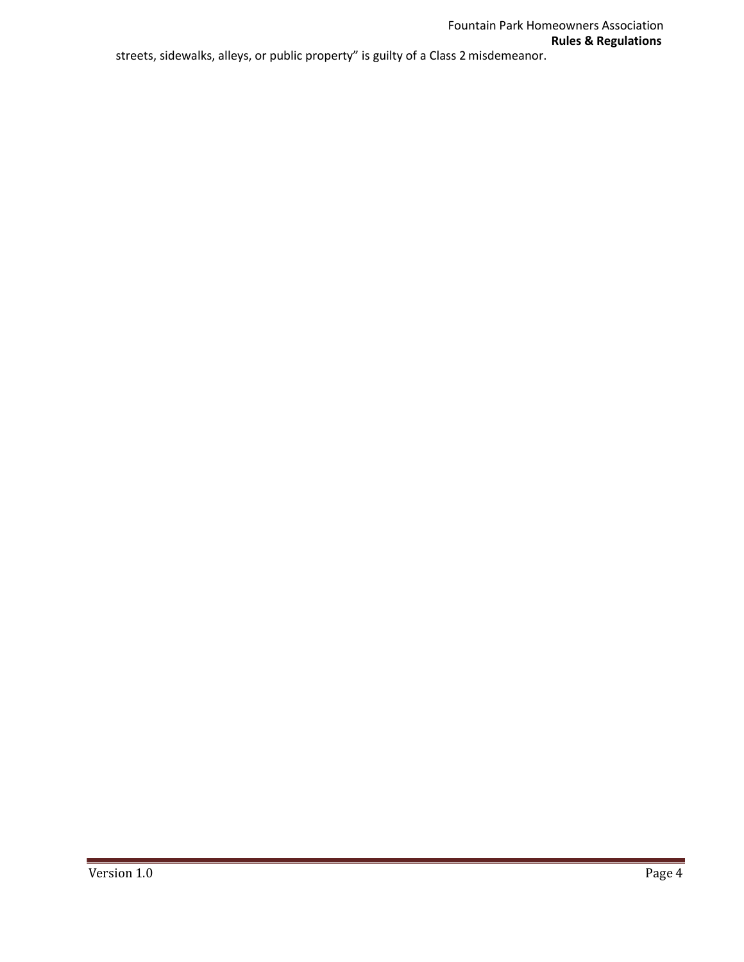Version 1.0 Page 4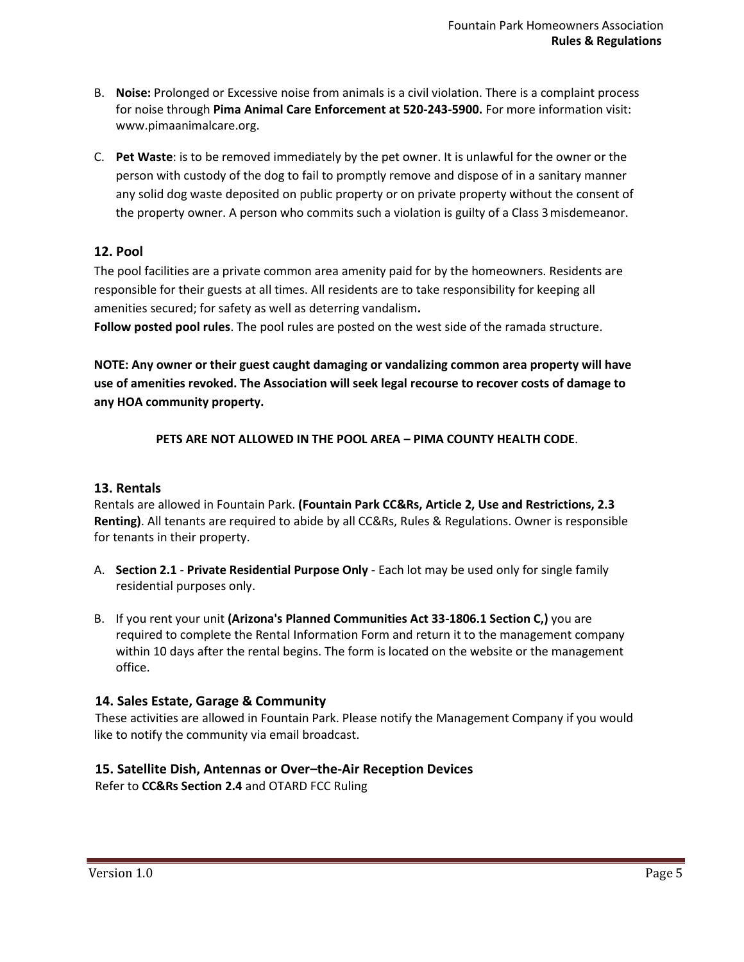- B. **Noise:** Prolonged or Excessive noise from animals is a civil violation. There is a complaint process for noise through **Pima Animal Care Enforcement at 520-243-5900.** For more information visit: [www.pimaanimalcare.org.](http://www.pimaanimalcare.org/)
- C. **Pet Waste**: is to be removed immediately by the pet owner. It is unlawful for the owner or the person with custody of the dog to fail to promptly remove and dispose of in a sanitary manner any solid dog waste deposited on public property or on private property without the consent of the property owner. A person who commits such a violation is guilty of a Class 3misdemeanor.

# **12. Pool**

The pool facilities are a private common area amenity paid for by the homeowners. Residents are responsible for their guests at all times. All residents are to take responsibility for keeping all amenities secured; for safety as well as deterring vandalism**.**

**Follow posted pool rules**. The pool rules are posted on the west side of the ramada structure.

**NOTE: Any owner or their guest caught damaging or vandalizing common area property will have use of amenities revoked. The Association will seek legal recourse to recover costs of damage to any HOA community property.**

**PETS ARE NOT ALLOWED IN THE POOL AREA – PIMA COUNTY HEALTH CODE**.

### **13. Rentals**

Rentals are allowed in Fountain Park. **(Fountain Park CC&Rs, Article 2, Use and Restrictions, 2.3 Renting)**. All tenants are required to abide by all CC&Rs, Rules & Regulations. Owner is responsible for tenants in their property.

- A. **Section 2.1 Private Residential Purpose Only**  Each lot may be used only for single family residential purposes only.
- B. If you rent your unit **(Arizona's Planned Communities Act 33-1806.1 Section C,)** you are required to complete the Rental Information Form and return it to the management company within 10 days after the rental begins. The form is located on the website or the management office.

### **14. Sales Estate, Garage & Community**

These activities are allowed in Fountain Park. Please notify the Management Company if you would like to notify the community via email broadcast.

# **15. Satellite Dish, Antennas or Over–the-Air Reception Devices**

Refer to **CC&Rs Section 2.4** and OTARD FCC Ruling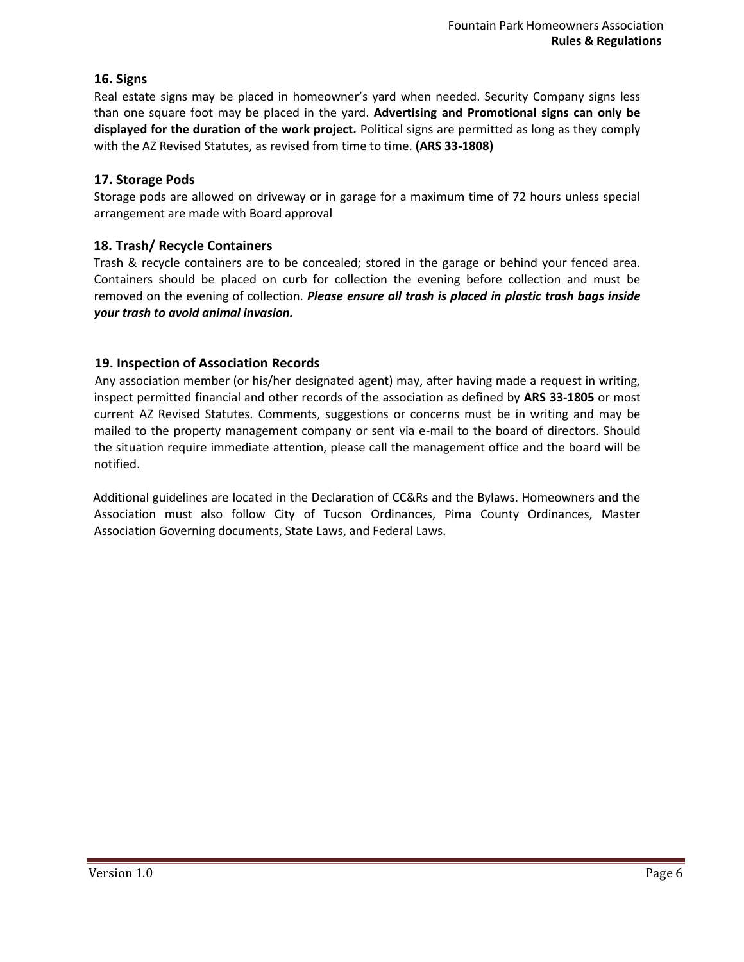# **16. Signs**

Real estate signs may be placed in homeowner's yard when needed. Security Company signs less than one square foot may be placed in the yard. **Advertising and Promotional signs can only be displayed for the duration of the work project.** Political signs are permitted as long as they comply with the AZ Revised Statutes, as revised from time to time. **(ARS 33-1808)**

### **17. Storage Pods**

Storage pods are allowed on driveway or in garage for a maximum time of 72 hours unless special arrangement are made with Board approval

### **18. Trash/ Recycle Containers**

Trash & recycle containers are to be concealed; stored in the garage or behind your fenced area. Containers should be placed on curb for collection the evening before collection and must be removed on the evening of collection. *Please ensure all trash is placed in plastic trash bags inside your trash to avoid animal invasion.*

### **19. Inspection of Association Records**

Any association member (or his/her designated agent) may, after having made a request in writing, inspect permitted financial and other records of the association as defined by **ARS 33-1805** or most current AZ Revised Statutes. Comments, suggestions or concerns must be in writing and may be mailed to the property management company or sent via e-mail to the board of directors. Should the situation require immediate attention, please call the management office and the board will be notified.

Additional guidelines are located in the Declaration of CC&Rs and the Bylaws. Homeowners and the Association must also follow City of Tucson Ordinances, Pima County Ordinances, Master Association Governing documents, State Laws, and Federal Laws.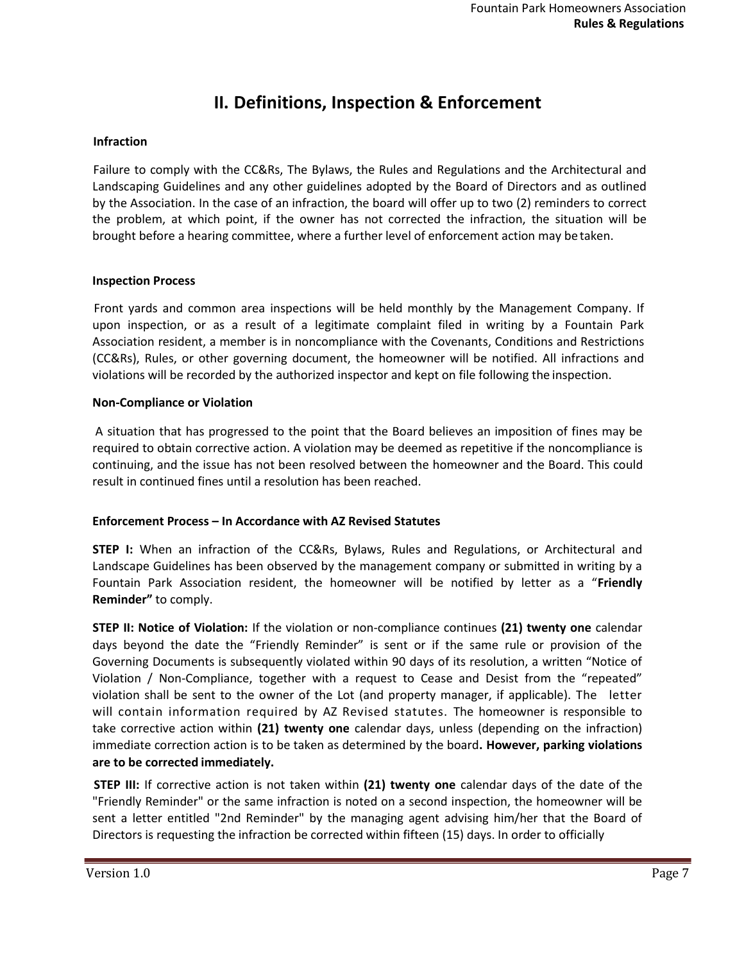# **II. Definitions, Inspection & Enforcement**

#### **Infraction**

Failure to comply with the CC&Rs, The Bylaws, the Rules and Regulations and the Architectural and Landscaping Guidelines and any other guidelines adopted by the Board of Directors and as outlined by the Association. In the case of an infraction, the board will offer up to two (2) reminders to correct the problem, at which point, if the owner has not corrected the infraction, the situation will be brought before a hearing committee, where a further level of enforcement action may betaken.

#### **Inspection Process**

Front yards and common area inspections will be held monthly by the Management Company. If upon inspection, or as a result of a legitimate complaint filed in writing by a Fountain Park Association resident, a member is in noncompliance with the Covenants, Conditions and Restrictions (CC&Rs), Rules, or other governing document, the homeowner will be notified. All infractions and violations will be recorded by the authorized inspector and kept on file following the inspection.

#### **Non-Compliance or Violation**

A situation that has progressed to the point that the Board believes an imposition of fines may be required to obtain corrective action. A violation may be deemed as repetitive if the noncompliance is continuing, and the issue has not been resolved between the homeowner and the Board. This could result in continued fines until a resolution has been reached.

#### **Enforcement Process – In Accordance with AZ Revised Statutes**

**STEP I:** When an infraction of the CC&Rs, Bylaws, Rules and Regulations, or Architectural and Landscape Guidelines has been observed by the management company or submitted in writing by a Fountain Park Association resident, the homeowner will be notified by letter as a "**Friendly Reminder"** to comply.

**STEP II: Notice of Violation:** If the violation or non-compliance continues **(21) twenty one** calendar days beyond the date the "Friendly Reminder" is sent or if the same rule or provision of the Governing Documents is subsequently violated within 90 days of its resolution, a written "Notice of Violation / Non-Compliance, together with a request to Cease and Desist from the "repeated" violation shall be sent to the owner of the Lot (and property manager, if applicable). The letter will contain information required by AZ Revised statutes. The homeowner is responsible to take corrective action within **(21) twenty one** calendar days, unless (depending on the infraction) immediate correction action is to be taken as determined by the board**. However, parking violations are to be corrected immediately.**

**STEP III:** If corrective action is not taken within **(21) twenty one** calendar days of the date of the "Friendly Reminder" or the same infraction is noted on a second inspection, the homeowner will be sent a letter entitled "2nd Reminder" by the managing agent advising him/her that the Board of Directors is requesting the infraction be corrected within fifteen (15) days. In order to officially